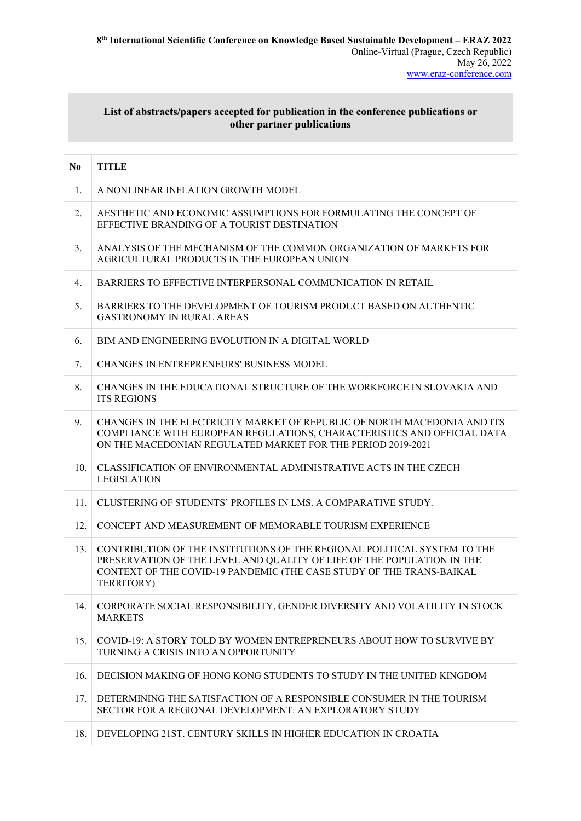## **List of abstracts/papers accepted for publication in the conference publications or other partner publications**

| N <sub>0</sub> | <b>TITLE</b>                                                                                                                                                                                                                             |
|----------------|------------------------------------------------------------------------------------------------------------------------------------------------------------------------------------------------------------------------------------------|
| 1.             | A NONLINEAR INFLATION GROWTH MODEL                                                                                                                                                                                                       |
| 2.             | AESTHETIC AND ECONOMIC ASSUMPTIONS FOR FORMULATING THE CONCEPT OF<br>EFFECTIVE BRANDING OF A TOURIST DESTINATION                                                                                                                         |
| 3.             | ANALYSIS OF THE MECHANISM OF THE COMMON ORGANIZATION OF MARKETS FOR<br>AGRICULTURAL PRODUCTS IN THE EUROPEAN UNION                                                                                                                       |
| 4.             | BARRIERS TO EFFECTIVE INTERPERSONAL COMMUNICATION IN RETAIL                                                                                                                                                                              |
| 5.             | BARRIERS TO THE DEVELOPMENT OF TOURISM PRODUCT BASED ON AUTHENTIC<br><b>GASTRONOMY IN RURAL AREAS</b>                                                                                                                                    |
| 6.             | BIM AND ENGINEERING EVOLUTION IN A DIGITAL WORLD                                                                                                                                                                                         |
| 7.             | <b>CHANGES IN ENTREPRENEURS' BUSINESS MODEL</b>                                                                                                                                                                                          |
| 8.             | CHANGES IN THE EDUCATIONAL STRUCTURE OF THE WORKFORCE IN SLOVAKIA AND<br><b>ITS REGIONS</b>                                                                                                                                              |
| 9.             | CHANGES IN THE ELECTRICITY MARKET OF REPUBLIC OF NORTH MACEDONIA AND ITS<br>COMPLIANCE WITH EUROPEAN REGULATIONS, CHARACTERISTICS AND OFFICIAL DATA<br>ON THE MACEDONIAN REGULATED MARKET FOR THE PERIOD 2019-2021                       |
| 10.            | CLASSIFICATION OF ENVIRONMENTAL ADMINISTRATIVE ACTS IN THE CZECH<br><b>LEGISLATION</b>                                                                                                                                                   |
| 11.            | CLUSTERING OF STUDENTS' PROFILES IN LMS. A COMPARATIVE STUDY.                                                                                                                                                                            |
| 12.            | CONCEPT AND MEASUREMENT OF MEMORABLE TOURISM EXPERIENCE                                                                                                                                                                                  |
| 13.            | CONTRIBUTION OF THE INSTITUTIONS OF THE REGIONAL POLITICAL SYSTEM TO THE<br>PRESERVATION OF THE LEVEL AND QUALITY OF LIFE OF THE POPULATION IN THE<br>CONTEXT OF THE COVID-19 PANDEMIC (THE CASE STUDY OF THE TRANS-BAIKAL<br>TERRITORY) |
| 14.            | CORPORATE SOCIAL RESPONSIBILITY, GENDER DIVERSITY AND VOLATILITY IN STOCK<br><b>MARKETS</b>                                                                                                                                              |
| 15.            | COVID-19: A STORY TOLD BY WOMEN ENTREPRENEURS ABOUT HOW TO SURVIVE BY<br>TURNING A CRISIS INTO AN OPPORTUNITY                                                                                                                            |
| 16.            | DECISION MAKING OF HONG KONG STUDENTS TO STUDY IN THE UNITED KINGDOM                                                                                                                                                                     |
| 17.            | DETERMINING THE SATISFACTION OF A RESPONSIBLE CONSUMER IN THE TOURISM<br>SECTOR FOR A REGIONAL DEVELOPMENT: AN EXPLORATORY STUDY                                                                                                         |
| 18.            | DEVELOPING 21ST. CENTURY SKILLS IN HIGHER EDUCATION IN CROATIA                                                                                                                                                                           |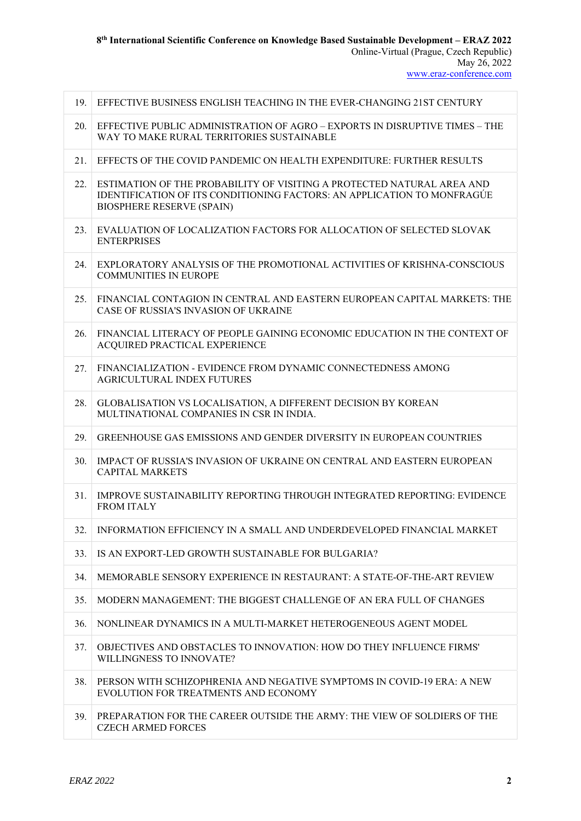|                                  | ** ** ** .UI w/i wwitty utwieder |  |
|----------------------------------|----------------------------------|--|
|                                  |                                  |  |
|                                  |                                  |  |
|                                  |                                  |  |
|                                  |                                  |  |
|                                  |                                  |  |
|                                  |                                  |  |
| I THE EVER-CHANGING 21ST CENTURY |                                  |  |

| 19. | EFFECTIVE BUSINESS ENGLISH TEACHING IN THE EVER-CHANGING 21ST CENTURY                                                                                                                 |
|-----|---------------------------------------------------------------------------------------------------------------------------------------------------------------------------------------|
| 20. | EFFECTIVE PUBLIC ADMINISTRATION OF AGRO - EXPORTS IN DISRUPTIVE TIMES - THE<br>WAY TO MAKE RURAL TERRITORIES SUSTAINABLE                                                              |
| 21. | EFFECTS OF THE COVID PANDEMIC ON HEALTH EXPENDITURE: FURTHER RESULTS                                                                                                                  |
| 22. | ESTIMATION OF THE PROBABILITY OF VISITING A PROTECTED NATURAL AREA AND<br>IDENTIFICATION OF ITS CONDITIONING FACTORS: AN APPLICATION TO MONFRAGUE<br><b>BIOSPHERE RESERVE (SPAIN)</b> |
| 23. | EVALUATION OF LOCALIZATION FACTORS FOR ALLOCATION OF SELECTED SLOVAK<br><b>ENTERPRISES</b>                                                                                            |
| 24. | EXPLORATORY ANALYSIS OF THE PROMOTIONAL ACTIVITIES OF KRISHNA-CONSCIOUS<br><b>COMMUNITIES IN EUROPE</b>                                                                               |
| 25. | FINANCIAL CONTAGION IN CENTRAL AND EASTERN EUROPEAN CAPITAL MARKETS: THE<br>CASE OF RUSSIA'S INVASION OF UKRAINE                                                                      |
| 26. | FINANCIAL LITERACY OF PEOPLE GAINING ECONOMIC EDUCATION IN THE CONTEXT OF<br>ACQUIRED PRACTICAL EXPERIENCE                                                                            |
| 27. | FINANCIALIZATION - EVIDENCE FROM DYNAMIC CONNECTEDNESS AMONG<br>AGRICULTURAL INDEX FUTURES                                                                                            |
| 28. | GLOBALISATION VS LOCALISATION, A DIFFERENT DECISION BY KOREAN<br>MULTINATIONAL COMPANIES IN CSR IN INDIA.                                                                             |
| 29. | GREENHOUSE GAS EMISSIONS AND GENDER DIVERSITY IN EUROPEAN COUNTRIES                                                                                                                   |
| 30. | IMPACT OF RUSSIA'S INVASION OF UKRAINE ON CENTRAL AND EASTERN EUROPEAN<br><b>CAPITAL MARKETS</b>                                                                                      |
| 31. | IMPROVE SUSTAINABILITY REPORTING THROUGH INTEGRATED REPORTING: EVIDENCE<br><b>FROM ITALY</b>                                                                                          |
| 32. | INFORMATION EFFICIENCY IN A SMALL AND UNDERDEVELOPED FINANCIAL MARKET                                                                                                                 |
| 33. | IS AN EXPORT-LED GROWTH SUSTAINABLE FOR BULGARIA?                                                                                                                                     |
| 34. | MEMORABLE SENSORY EXPERIENCE IN RESTAURANT: A STATE-OF-THE-ART REVIEW                                                                                                                 |
| 35. | MODERN MANAGEMENT: THE BIGGEST CHALLENGE OF AN ERA FULL OF CHANGES                                                                                                                    |
| 36. | NONLINEAR DYNAMICS IN A MULTI-MARKET HETEROGENEOUS AGENT MODEL                                                                                                                        |
| 37. | OBJECTIVES AND OBSTACLES TO INNOVATION: HOW DO THEY INFLUENCE FIRMS'<br>WILLINGNESS TO INNOVATE?                                                                                      |
| 38. | PERSON WITH SCHIZOPHRENIA AND NEGATIVE SYMPTOMS IN COVID-19 ERA: A NEW<br>EVOLUTION FOR TREATMENTS AND ECONOMY                                                                        |
| 39. | PREPARATION FOR THE CAREER OUTSIDE THE ARMY: THE VIEW OF SOLDIERS OF THE<br><b>CZECH ARMED FORCES</b>                                                                                 |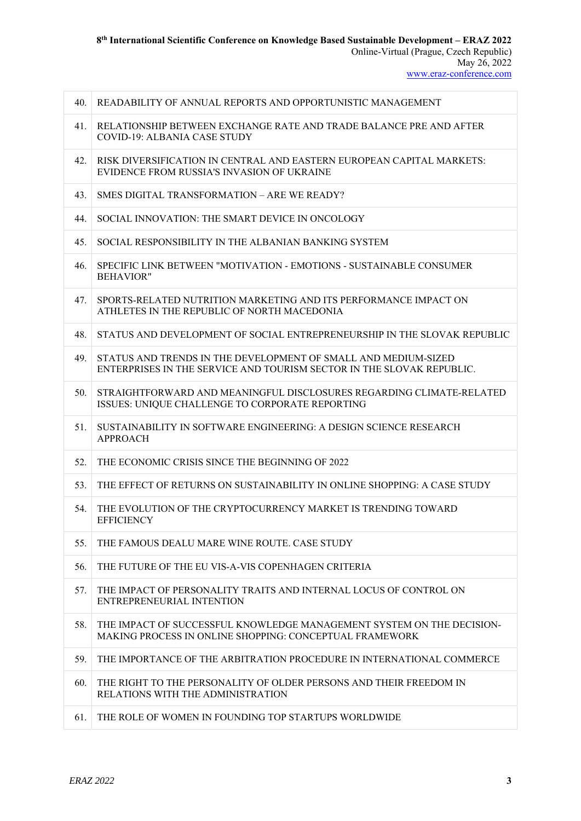40. READABILITY OF ANNUAL REPORTS AND OPPORTUNISTIC MANAGEMENT

| 41. | RELATIONSHIP BETWEEN EXCHANGE RATE AND TRADE BALANCE PRE AND AFTER<br>COVID-19: ALBANIA CASE STUDY                                      |
|-----|-----------------------------------------------------------------------------------------------------------------------------------------|
| 42. | RISK DIVERSIFICATION IN CENTRAL AND EASTERN EUROPEAN CAPITAL MARKETS:<br>EVIDENCE FROM RUSSIA'S INVASION OF UKRAINE                     |
| 43. | SMES DIGITAL TRANSFORMATION – ARE WE READY?                                                                                             |
| 44. | SOCIAL INNOVATION: THE SMART DEVICE IN ONCOLOGY                                                                                         |
| 45. | SOCIAL RESPONSIBILITY IN THE ALBANIAN BANKING SYSTEM                                                                                    |
| 46. | SPECIFIC LINK BETWEEN "MOTIVATION - EMOTIONS - SUSTAINABLE CONSUMER<br><b>BEHAVIOR"</b>                                                 |
| 47. | SPORTS-RELATED NUTRITION MARKETING AND ITS PERFORMANCE IMPACT ON<br>ATHLETES IN THE REPUBLIC OF NORTH MACEDONIA                         |
| 48. | STATUS AND DEVELOPMENT OF SOCIAL ENTREPRENEURSHIP IN THE SLOVAK REPUBLIC                                                                |
| 49. | STATUS AND TRENDS IN THE DEVELOPMENT OF SMALL AND MEDIUM-SIZED<br>ENTERPRISES IN THE SERVICE AND TOURISM SECTOR IN THE SLOVAK REPUBLIC. |
| 50. | STRAIGHTFORWARD AND MEANINGFUL DISCLOSURES REGARDING CLIMATE-RELATED<br>ISSUES: UNIQUE CHALLENGE TO CORPORATE REPORTING                 |
| 51. | SUSTAINABILITY IN SOFTWARE ENGINEERING: A DESIGN SCIENCE RESEARCH<br><b>APPROACH</b>                                                    |
| 52. | THE ECONOMIC CRISIS SINCE THE BEGINNING OF 2022                                                                                         |
| 53. | THE EFFECT OF RETURNS ON SUSTAINABILITY IN ONLINE SHOPPING: A CASE STUDY                                                                |
| 54. | THE EVOLUTION OF THE CRYPTOCURRENCY MARKET IS TRENDING TOWARD<br><b>EFFICIENCY</b>                                                      |
| 55. | THE FAMOUS DEALU MARE WINE ROUTE, CASE STUDY                                                                                            |
| 56. | THE FUTURE OF THE EU VIS-A-VIS COPENHAGEN CRITERIA                                                                                      |
| 57. | THE IMPACT OF PERSONALITY TRAITS AND INTERNAL LOCUS OF CONTROL ON<br>ENTREPRENEURIAL INTENTION                                          |
| 58. | THE IMPACT OF SUCCESSFUL KNOWLEDGE MANAGEMENT SYSTEM ON THE DECISION-<br>MAKING PROCESS IN ONLINE SHOPPING: CONCEPTUAL FRAMEWORK        |
| 59. | THE IMPORTANCE OF THE ARBITRATION PROCEDURE IN INTERNATIONAL COMMERCE                                                                   |
|     |                                                                                                                                         |

60. THE RIGHT TO THE PERSONALITY OF OLDER PERSONS AND THEIR FREEDOM IN RELATIONS WITH THE ADMINISTRATION

61. THE ROLE OF WOMEN IN FOUNDING TOP STARTUPS WORLDWIDE